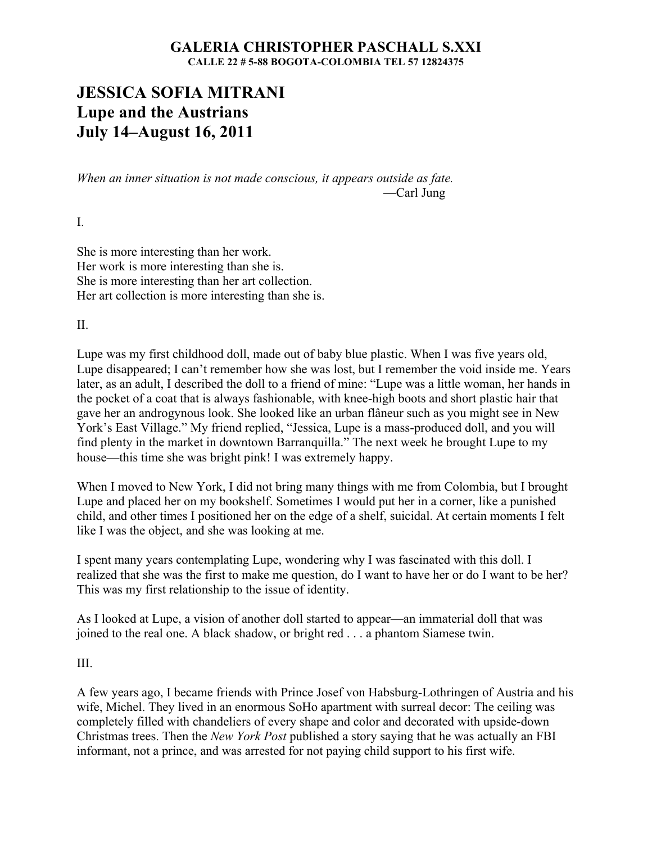## **GALERIA CHRISTOPHER PASCHALL S.XXI CALLE 22 # 5-88 BOGOTA-COLOMBIA TEL 57 12824375**

# **JESSICA SOFIA MITRANI Lupe and the Austrians July 14–August 16, 2011**

*When an inner situation is not made conscious, it appears outside as fate.* —Carl Jung

I.

She is more interesting than her work. Her work is more interesting than she is. She is more interesting than her art collection. Her art collection is more interesting than she is.

II.

Lupe was my first childhood doll, made out of baby blue plastic. When I was five years old, Lupe disappeared; I can't remember how she was lost, but I remember the void inside me. Years later, as an adult, I described the doll to a friend of mine: "Lupe was a little woman, her hands in the pocket of a coat that is always fashionable, with knee-high boots and short plastic hair that gave her an androgynous look. She looked like an urban flâneur such as you might see in New York's East Village." My friend replied, "Jessica, Lupe is a mass-produced doll, and you will find plenty in the market in downtown Barranquilla." The next week he brought Lupe to my house—this time she was bright pink! I was extremely happy.

When I moved to New York, I did not bring many things with me from Colombia, but I brought Lupe and placed her on my bookshelf. Sometimes I would put her in a corner, like a punished child, and other times I positioned her on the edge of a shelf, suicidal. At certain moments I felt like I was the object, and she was looking at me.

I spent many years contemplating Lupe, wondering why I was fascinated with this doll. I realized that she was the first to make me question, do I want to have her or do I want to be her? This was my first relationship to the issue of identity.

As I looked at Lupe, a vision of another doll started to appear—an immaterial doll that was joined to the real one. A black shadow, or bright red . . . a phantom Siamese twin.

#### III.

A few years ago, I became friends with Prince Josef von Habsburg-Lothringen of Austria and his wife, Michel. They lived in an enormous SoHo apartment with surreal decor: The ceiling was completely filled with chandeliers of every shape and color and decorated with upside-down Christmas trees. Then the *New York Post* published a story saying that he was actually an FBI informant, not a prince, and was arrested for not paying child support to his first wife.